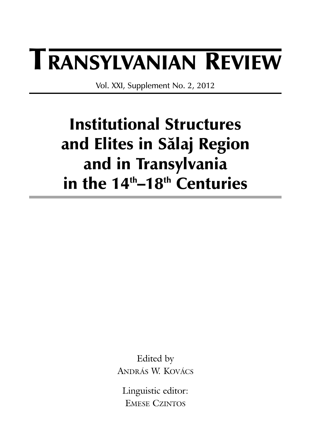# **TRANSYLVANIAN REVIEW**

Vol. XXI, Supplement No. 2, 2012

# **Institutional Structures and Elites in Sãlaj Region and in Transylvania in the 14th–18th Centuries**

Edited by ANDRÁS W. KOVÁCS

Linguistic editor: EMESE CZINTOS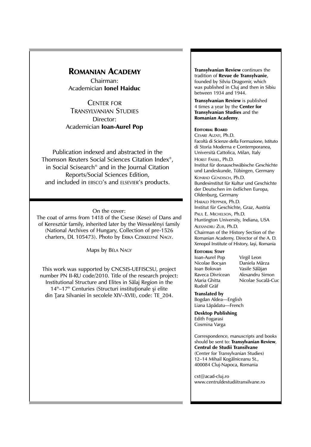### **ROMANIAN ACADEMY**

Chairman: Academician **Ionel Haiduc**

CENTER FOR TRANSYLVANIAN STUDIES Director: Academician **Ioan-Aurel Pop**

Publication indexed and abstracted in the Thomson Reuters Social Sciences Citation Index®, in Social Scisearch® and in the Journal Citation Reports/Social Sciences Edition, and included in EBSCO's and ELSEVIER's products.

#### On the cover:

The coat of arms from 1418 of the Csese (Kese) of Dans and of Keresztúr family, inherited later by the Wesselényi family (National Archives of Hungary, Collection of pre-1526 charters, DL 105473). Photo by ERIKA CZIKKELYNÉ NAGY.

Maps by BÉLA NAGY

This work was supported by CNCSIS-UEFISCSU, project number PN II-RU code/2010. Title of the research project: Institutional Structure and Elites in Sãlaj Region in the  $14<sup>th</sup>$ –17<sup>th</sup> Centuries (Structuri institutionale si elite din Țara Silvaniei în secolele XIV-XVII), code: TE\_204.

**Transylvanian Review** continues the tradition of **Revue de Transylvanie**, founded by Silviu Dragomir, which was published in Cluj and then in Sibiu between 1934 and 1944.

**Transylvanian Review** is published 4 times a year by the **Center for Transylvanian Studies** and the **Romanian Academy**.

#### **EDITORIAL BOARD**

CESARE ALZATI, Ph.D. Facoltà di Scienze della Formazione, Istituto di Storia Moderna e Contemporanea, Università Cattolica, Milan, Italy HORST FASSEL, Ph.D. Institut für donauschwäbische Geschichte und Landeskunde, Tübingen, Germany KONRAD GÜNDISCH, Ph.D. Bundesinstitut für Kultur und Geschichte der Deutschen im östlichen Europa, Oldenburg, Germany HARALD HEPPNER, Ph.D. Institut für Geschichte, Graz, Austria PAUL E. MICHELSON, Ph.D. Huntington University, Indiana, USA ALEXANDRU ZUB, Ph.D. Chairman of the History Section of the Romanian Academy, Director of the A. D.

Xenopol Institute of History, Iaşi, Romania

#### **EDITORIAL STAFF**

Ioan-Aurel Pop Virgil Leon Nicolae Bocşan<br>Ioan Bolovan Raveca Divricean<br>Maria Ghitta Rudolf Gräf

Vasile Sălăjan<br>Alexandru Simon Nicolae Sucală-Cuc

**Translated by** Bogdan Aldea—English Liana Lãpãdatu—French

**Desktop Publishing** Edith Fogarasi Cosmina Varga

Correspondence, manuscripts and books should be sent to: **Transylvanian Review**, **Centrul de Studii Transilvane** (Center for Transylvanian Studies) 12–14 Mihail Kogãlniceanu St., 400084 Cluj-Napoca, Romania

cst@acad-cluj.ro www.centruldestudiitransilvane.ro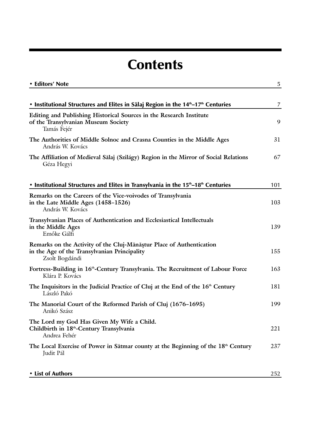## **Contents**

| • Editors' Note                                                                                                                        | 5   |
|----------------------------------------------------------------------------------------------------------------------------------------|-----|
|                                                                                                                                        |     |
| • Institutional Structures and Elites in Sălaj Region in the 14 <sup>th</sup> -17 <sup>th</sup> Centuries                              | 7   |
| Editing and Publishing Historical Sources in the Research Institute<br>of the Transylvanian Museum Society<br>Tamás Fejér              | 9   |
| The Authorities of Middle Solnoc and Crasna Counties in the Middle Ages<br>András W. Kovács                                            | 31  |
| The Affiliation of Medieval Sălaj (Szilágy) Region in the Mirror of Social Relations<br>Géza Hegyi                                     | 67  |
| • Institutional Structures and Elites in Transylvania in the 15 <sup>th</sup> -18 <sup>th</sup> Centuries                              | 101 |
| Remarks on the Careers of the Vice-voivodes of Transylvania<br>in the Late Middle Ages (1458–1526)<br>András W. Kovács                 | 103 |
| Transylvanian Places of Authentication and Ecclesiastical Intellectuals<br>in the Middle Ages<br>Emőke Gálfi                           | 139 |
| Remarks on the Activity of the Cluj-Mănăștur Place of Authentication<br>in the Age of the Transylvanian Principality<br>Zsolt Bogdándi | 155 |
| Fortress-Building in 16 <sup>th</sup> -Century Transylvania. The Recruitment of Labour Force<br>Klára P. Kovács                        | 163 |
| The Inquisitors in the Judicial Practice of Cluj at the End of the $16th$ Century<br>László Pakó                                       | 181 |
| The Manorial Court of the Reformed Parish of Cluj (1676–1695)<br>Anikó Szász                                                           | 199 |
| The Lord my God Has Given My Wife a Child.<br>Childbirth in 18 <sup>th</sup> -Century Transylvania<br>Andrea Fehér                     | 221 |
| The Local Exercise of Power in Sătmar county at the Beginning of the 18 <sup>th</sup> Century<br>Judit Pál                             | 237 |
| • List of Authors                                                                                                                      | 252 |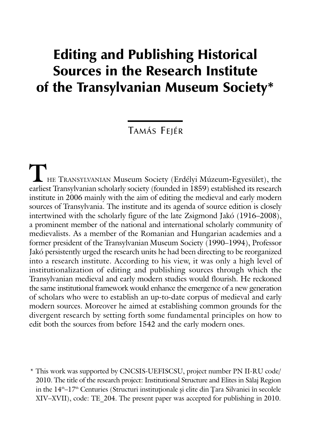## **Editing and Publishing Historical Sources in the Research Institute of the Transylvanian Museum Society\***

TAMÁS FEJÉR

**T**HE TRANSYLVANIAN Museum Society (Erdélyi Múzeum**-**Egyesület), the earliest Transylvanian scholarly society (founded in 1859) established its research institute in 2006 mainly with the aim of editing the medieval and early modern sources of Transylvania. The institute and its agenda of source edition is closely intertwined with the scholarly figure of the late Zsigmond Jakó (1916–2008), a prominent member of the national and international scholarly community of medievalists. As a member of the Romanian and Hungarian academies and a former president of the Transylvanian Museum Society (1990–1994), Professor Jakó persistently urged the research units he had been directing to be reorganized into a research institute. According to his view, it was only a high level of institutionalization of editing and publishing sources through which the Transylvanian medieval and early modern studies would flourish. He reckoned the same institutional framework would enhance the emergence of a new generation of scholars who were to establish an up-to-date corpus of medieval and early modern sources. Moreover he aimed at establishing common grounds for the divergent research by setting forth some fundamental principles on how to edit both the sources from before 1542 and the early modern ones.

\* This work was supported by CNCSIS-UEFISCSU, project number PN II-RU code/ 2010. The title of the research project: Institutional Structure and Elites in Sãlaj Region in the  $14<sup>th</sup>-17<sup>th</sup>$  Centuries (Structuri institutionale și elite din Țara Silvaniei în secolele XIV–XVII), code: TE\_204. The present paper was accepted for publishing in 2010.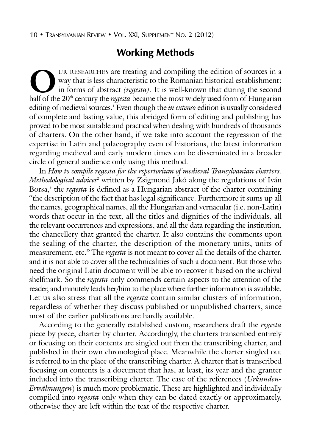## **Working Methods**

UR RESEARCHES are treating and compiling the edition of sources in a<br>way that is less characteristic to the Romanian historical establishment:<br>in forms of abstract *(regesta)*. It is well-known that during the second<br>half way that is less characteristic to the Romanian historical establishment: in forms of abstract *(regesta)*. It is well**-**known that during the second half of the 20<sup>th</sup> century the *regesta* became the most widely used form of Hungarian editing of medieval sources.<sup>1</sup> Even though the *in extenso* edition is usually considered of complete and lasting value, this abridged form of editing and publishing has proved to be most suitable and practical when dealing with hundreds of thousands of charters. On the other hand, if we take into account the regression of the expertise in Latin and palaeography even of historians, the latest information regarding medieval and early modern times can be disseminated in a broader circle of general audience only using this method.

In *How to compile regesta for the repertorium of medieval Transylvanian charters. Methodological advices<sup>2</sup>* written by Zsigmond Jakó along the regulations of Iván Borsa,<sup>3</sup> the *regesta* is defined as a Hungarian abstract of the charter containing "the description of the fact that has legal significance. Furthermore it sums up all the names, geographical names, all the Hungarian and vernacular (i.e. non-Latin) words that occur in the text, all the titles and dignities of the individuals, all the relevant occurrences and expressions, and all the data regarding the institution, the chancellery that granted the charter. It also contains the comments upon the sealing of the charter, the description of the monetary units, units of measurement, etc." The *regesta* is not meant to cover all the details of the charter, and it is not able to cover all the technicalities of such a document. But those who need the original Latin document will be able to recover it based on the archival shelfmark. So the *regesta* only commends certain aspects to the attention of the reader, and minutely leads her/him to the place where further information is available. Let us also stress that all the *regesta* contain similar clusters of information, regardless of whether they discuss published or unpublished charters, since most of the earlier publications are hardly available.

According to the generally established custom, researchers draft the *regesta* piece by piece, charter by charter. Accordingly, the charters transcribed entirely or focusing on their contents are singled out from the transcribing charter, and published in their own chronological place. Meanwhile the charter singled out is referred to in the place of the transcribing charter. A charter that is transcribed focusing on contents is a document that has, at least, its year and the granter included into the transcribing charter. The case of the references (*Urkunden-Erwähnungen*) is much more problematic. These are highlighted and individually compiled into *regesta* only when they can be dated exactly or approximately, otherwise they are left within the text of the respective charter.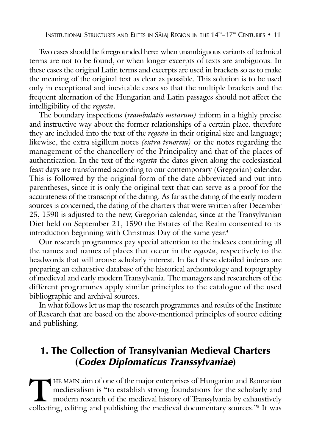Two cases should be foregrounded here: when unambiguous variants of technical terms are not to be found, or when longer excerpts of texts are ambiguous. In these cases the original Latin terms and excerpts are used in brackets so as to make the meaning of the original text as clear as possible. This solution is to be used only in exceptional and inevitable cases so that the multiple brackets and the frequent alternation of the Hungarian and Latin passages should not affect the intelligibility of the *regesta*.

The boundary inspections (*reambulatio metarum)* inform in a highly precise and instructive way about the former relationships of a certain place, therefore they are included into the text of the *regesta* in their original size and language; likewise, the extra sigillum notes *(extra tenorem)* or the notes regarding the management of the chancellery of the Principality and that of the places of authentication. In the text of the *regesta* the dates given along the ecclesiastical feast days are transformed according to our contemporary (Gregorian) calendar. This is followed by the original form of the date abbreviated and put into parentheses, since it is only the original text that can serve as a proof for the accurateness of the transcript of the dating. As far as the dating of the early modern sources is concerned, the dating of the charters that were written after December 25, 1590 is adjusted to the new, Gregorian calendar, since at the Transylvanian Diet held on September 21, 1590 the Estates of the Realm consented to its introduction beginning with Christmas Day of the same year.<sup>4</sup>

Our research programmes pay special attention to the indexes containing all the names and names of places that occur in the *regesta*, respectively to the headwords that will arouse scholarly interest. In fact these detailed indexes are preparing an exhaustive database of the historical archontology and topography of medieval and early modern Transylvania. The managers and researchers of the different programmes apply similar principles to the catalogue of the used bibliographic and archival sources.

In what follows let us map the research programmes and results of the Institute of Research that are based on the above-mentioned principles of source editing and publishing.

### **1. The Collection of Transylvanian Medieval Charters (Codex Diplomaticus Transsylvaniae)**

THE MAIN aim of one of the major enterprises of Hungarian and Romanian<br>medievalism is "to establish strong foundations for the scholarly and<br>modern research of the medieval history of Transylvania by exhaustively<br>collectin medievalism is "to establish strong foundations for the scholarly and modern research of the medieval history of Transylvania by exhaustively collecting, editing and publishing the medieval documentary sources."5 It was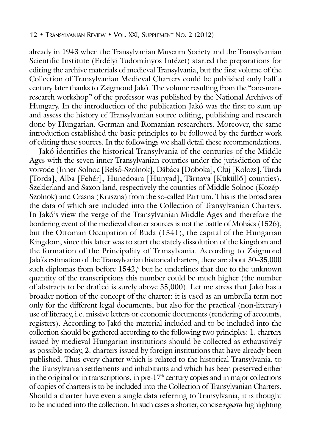already in 1943 when the Transylvanian Museum Society and the Transylvanian Scientific Institute (Erdélyi Tudományos Intézet) started the preparations for editing the archive materials of medieval Transylvania, but the first volume of the Collection of Transylvanian Medieval Charters could be published only half a century later thanks to Zsigmond Jakó. The volume resulting from the "one-manresearch workshop" of the professor was published by the National Archives of Hungary. In the introduction of the publication Jakó was the first to sum up and assess the history of Transylvanian source editing, publishing and research done by Hungarian, German and Romanian researchers. Moreover, the same introduction established the basic principles to be followed by the further work of editing these sources. In the followings we shall detail these recommendations.

Jakó identifies the historical Transylvania of the centuries of the Middle Ages with the seven inner Transylvanian counties under the jurisdiction of the voivode (Inner Solnoc [Belsø-Szolnok], Dãbâca [Doboka], Cluj [Kolozs], Turda [Torda], Alba [Fehér], Hunedoara [Hunyad], Târnava [Küküllø] counties), Szeklerland and Saxon land, respectively the counties of Middle Solnoc (Közép-Szolnok) and Crasna (Kraszna) from the so-called Partium. This is the broad area the data of which are included into the Collection of Transylvanian Charters. In Jakó's view the verge of the Transylvanian Middle Ages and therefore the bordering event of the medieval charter sources is not the battle of Mohács (1526), but the Ottoman Occupation of Buda (1541), the capital of the Hungarian Kingdom, since this latter was to start the stately dissolution of the kingdom and the formation of the Principality of Transylvania. According to Zsigmond Jakó's estimation of the Transylvanian historical charters, there are about 30–35,000 such diplomas from before 1542,<sup>6</sup> but he underlines that due to the unknown quantity of the transcriptions this number could be much higher (the number of abstracts to be drafted is surely above 35,000). Let me stress that Jakó has a broader notion of the concept of the charter: it is used as an umbrella term not only for the different legal documents, but also for the practical (non-literary) use of literacy, i.e. missive letters or economic documents (rendering of accounts, registers). According to Jakó the material included and to be included into the collection should be gathered according to the following two principles: 1. charters issued by medieval Hungarian institutions should be collected as exhaustively as possible today, 2. charters issued by foreign institutions that have already been published. Thus every charter which is related to the historical Transylvania, to the Transylvanian settlements and inhabitants and which has been preserved either in the original or in transcriptions, in pre- $17<sup>th</sup>$  century copies and in major collections of copies of charters is to be included into the Collection of Transylvanian Charters. Should a charter have even a single data referring to Transylvania, it is thought to be included into the collection. In such cases a shorter, concise *regesta* highlighting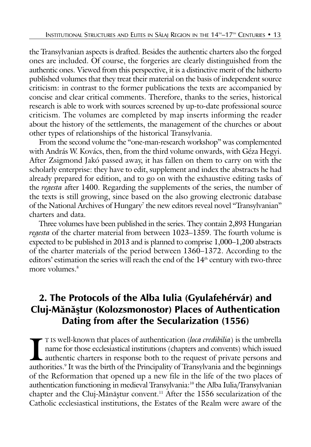the Transylvanian aspects is drafted. Besides the authentic charters also the forged ones are included. Of course, the forgeries are clearly distinguished from the authentic ones. Viewed from this perspective, it is a distinctive merit of the hitherto published volumes that they treat their material on the basis of independent source criticism: in contrast to the former publications the texts are accompanied by concise and clear critical comments. Therefore, thanks to the series, historical research is able to work with sources screened by up-to-date professional source criticism. The volumes are completed by map inserts informing the reader about the history of the settlements, the management of the churches or about other types of relationships of the historical Transylvania.

From the second volume the "one-man-research workshop" was complemented with András W. Kovács, then, from the third volume onwards, with Géza Hegyi. After Zsigmond Jakó passed away, it has fallen on them to carry on with the scholarly enterprise: they have to edit, supplement and index the abstracts he had already prepared for edition, and to go on with the exhaustive editing tasks of the *regesta* after 1400. Regarding the supplements of the series, the number of the texts is still growing, since based on the also growing electronic database of the National Archives of Hungary<sup>7</sup> the new editors reveal novel "Transylvanian" charters and data.

Three volumes have been published in the series. They contain 2,893 Hungarian *regesta* of the charter material from between 1023–1359. The fourth volume is expected to be published in 2013 and is planned to comprise 1,000–1,200 abstracts of the charter materials of the period between 1360–1372. According to the editors' estimation the series will reach the end of the 14<sup>th</sup> century with two-three more volumes.<sup>8</sup>

## **2. The Protocols of the Alba Iulia (Gyulafehérvár) and Cluj-Mănăştur (Kolozsmonostor) Places of Authentication Dating from after the Secularization (1556)**

I IS well-known that places of authentication (*loca credibilia*) is the umbrella name for those ecclesiastical institutions (chapters and convents) which issued authentic charters in response both to the request of privat T IS well-known that places of authentication (*loca credibilia*) is the umbrella name for those ecclesiastical institutions (chapters and convents) which issued authentic charters in response both to the request of private persons and of the Reformation that opened up a new file in the life of the two places of authentication functioning in medieval Transylvania:<sup>10</sup> the Alba Iulia/Transylvanian chapter and the Cluj-Mănăștur convent.<sup>11</sup> After the 1556 secularization of the Catholic ecclesiastical institutions, the Estates of the Realm were aware of the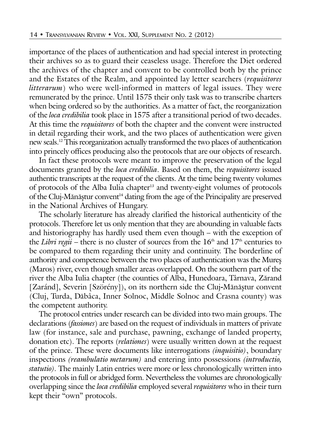importance of the places of authentication and had special interest in protecting their archives so as to guard their ceaseless usage. Therefore the Diet ordered the archives of the chapter and convent to be controlled both by the prince and the Estates of the Realm, and appointed lay letter searchers (*requisitores litterarum*) who were well-informed in matters of legal issues. They were remunerated by the prince. Until 1575 their only task was to transcribe charters when being ordered so by the authorities. As a matter of fact, the reorganization of the *loca credibilia* took place in 1575 after a transitional period of two decades. At this time the *requisitores* of both the chapter and the convent were instructed in detail regarding their work, and the two places of authentication were given new seals.12 This reorganization actually transformed the two places of authentication into princely offices producing also the protocols that are our objects of research.

In fact these protocols were meant to improve the preservation of the legal documents granted by the *loca credibilia*. Based on them, the *requisitores* issued authentic transcripts at the request of the clients. At the time being twenty volumes of protocols of the Alba Iulia chapter<sup>13</sup> and twenty-eight volumes of protocols of the Cluj-Mănăștur convent<sup>14</sup> dating from the age of the Principality are preserved in the National Archives of Hungary.

The scholarly literature has already clarified the historical authenticity of the protocols. Therefore let us only mention that they are abounding in valuable facts and historiography has hardly used them even though – with the exception of the *Libri regii* – there is no cluster of sources from the  $16<sup>th</sup>$  and  $17<sup>th</sup>$  centuries to be compared to them regarding their unity and continuity. The borderline of authority and competence between the two places of authentication was the Mures (Maros) river, even though smaller areas overlapped. On the southern part of the river the Alba Iulia chapter (the counties of Alba, Hunedoara, Târnava, Zãrand [Zaránd], Severin [Szörény]), on its northern side the Cluj-Mănăștur convent (Cluj, Turda, Dãbâca, Inner Solnoc, Middle Solnoc and Crasna county) was the competent authority.

The protocol entries under research can be divided into two main groups. The declarations (*fassiones*) are based on the request of individuals in matters of private law (for instance, sale and purchase, pawning, exchange of landed property, donation etc). The reports (*relationes*) were usually written down at the request of the prince. These were documents like interrogations *(inquisitio)*, boundary inspections *(reambulatio metarum)* and entering into possessions *(introductio, statutio).* The mainly Latin entries were more or less chronologically written into the protocols in full or abridged form. Nevertheless the volumes are chronologically overlapping since the *loca credibilia* employed several *requisitores* who in their turn kept their "own" protocols.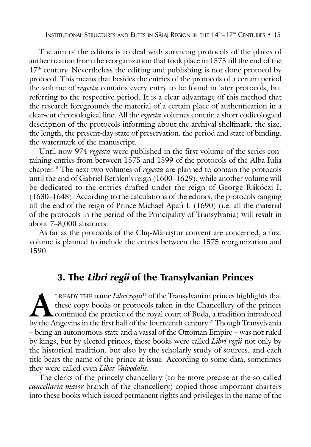The aim of the editors is to deal with surviving protocols of the places of authentication from the reorganization that took place in 1575 till the end of the  $17<sup>th</sup>$  century. Nevertheless the editing and publishing is not done protocol by protocol. This means that besides the entries of the protocols of a certain period the volume of *regesta* contains every entry to be found in later protocols, but referring to the respective period. It is a clear advantage of this method that the research foregrounds the material of a certain place of authentication in a clear-cut chronological line. All the *regesta* volumes contain a short codicological description of the protocols informing about the archival shelfmark, the size, the length, the present-day state of preservation, the period and state of binding, the watermark of the manuscript.

Until now 974 *regesta* were published in the first volume of the series containing entries from between 1575 and 1599 of the protocols of the Alba Iulia chapter.15 The next two volumes of *regesta* are planned to contain the protocols until the end of Gabriel Bethlen's reign (1600–1629), while another volume will be dedicated to the entries drafted under the reign of George Rákóczi I. (1630–1648). According to the calculations of the editors, the protocols ranging till the end of the reign of Prince Michael Apafi I. (1690) (i.e. all the material of the protocols in the period of the Principality of Transylvania) will result in about 7–8,000 abstracts.

As far as the protocols of the Cluj-Mănăștur convent are concerned, a first volume is planned to include the entries between the 1575 reorganization and 1590.

### **3. The Libri regii of the Transylvanian Princes**

**ALLACE INTERT EXAMPLE THE name** *Libri regii***<sup>16</sup> of the Transylvanian princes highlights that these copy books or protocols taken in the Chancellery of the princes continued the practice of the royal court of Buda, a trad** these copy books or protocols taken in the Chancellery of the princes continued the practice of the royal court of Buda, a tradition introduced by the Angevins in the first half of the fourteenth century.17 Though Transylvania – being an autonomous state and a vassal of the Ottoman Empire – was not ruled by kings, but by elected princes, these books were called *Libri regii* not only by the historical tradition, but also by the scholarly study of sources, and each title bears the name of the prince at issue. According to some data, sometimes they were called even *Liber Vaivodalis*.

The clerks of the princely chancellery (to be more precise at the so-called *cancellaria maior* branch of the chancellery) copied those important charters into these books which issued permanent rights and privileges in the name of the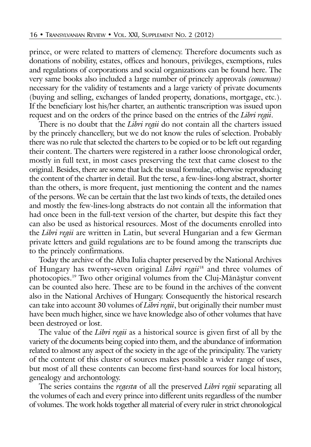prince, or were related to matters of clemency. Therefore documents such as donations of nobility, estates, offices and honours, privileges, exemptions, rules and regulations of corporations and social organizations can be found here. The very same books also included a large number of princely approvals *(consensus)* necessary for the validity of testaments and a large variety of private documents (buying and selling, exchanges of landed property, donations, mortgage, etc.). If the beneficiary lost his/her charter, an authentic transcription was issued upon request and on the orders of the prince based on the entries of the *Libri regii*.

There is no doubt that the *Libri regii* do not contain all the charters issued by the princely chancellery, but we do not know the rules of selection. Probably there was no rule that selected the charters to be copied or to be left out regarding their content. The charters were registered in a rather loose chronological order, mostly in full text, in most cases preserving the text that came closest to the original. Besides, there are some that lack the usual formulae, otherwise reproducing the content of the charter in detail. But the terse, a few-lines-long abstract, shorter than the others, is more frequent, just mentioning the content and the names of the persons. We can be certain that the last two kinds of texts, the detailed ones and mostly the few-lines-long abstracts do not contain all the information that had once been in the full-text version of the charter, but despite this fact they can also be used as historical resources. Most of the documents enrolled into the *Libri regii* are written in Latin, but several Hungarian and a few German private letters and guild regulations are to be found among the transcripts due to the princely confirmations.

Today the archive of the Alba Iulia chapter preserved by the National Archives of Hungary has twenty**-**seven original *Libri regii*<sup>18</sup> and three volumes of photocopies.<sup>19</sup> Two other original volumes from the Cluj-Mănăștur convent can be counted also here. These are to be found in the archives of the convent also in the National Archives of Hungary. Consequently the historical research can take into account 30 volumes of *Libri regii*, but originally their number must have been much higher, since we have knowledge also of other volumes that have been destroyed or lost.

The value of the *Libri regii* as a historical source is given first of all by the variety of the documents being copied into them, and the abundance of information related to almost any aspect of the society in the age of the principality. The variety of the content of this cluster of sources makes possible a wider range of uses, but most of all these contents can become first-hand sources for local history, genealogy and archontology.

The series contains the *regesta* of all the preserved *Libri regii* separating all the volumes of each and every prince into different units regardless of the number of volumes. The work holds together all material of every ruler in strict chronological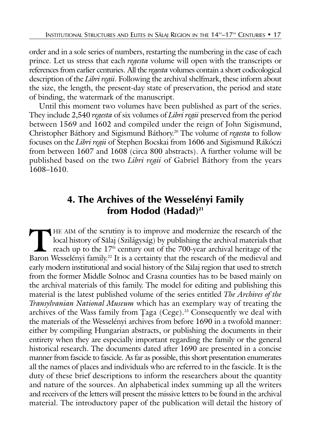order and in a sole series of numbers, restarting the numbering in the case of each prince. Let us stress that each *regesta* volume will open with the transcripts or references from earlier centuries. All the *regesta* volumes contain a short codicological description of the *Libri regii*. Following the archival shelfmark, these inform about the size, the length, the present-day state of preservation, the period and state of binding, the watermark of the manuscript.

Until this moment two volumes have been published as part of the series. They include 2,540 *regesta* of six volumes of *Libri regii* preserved from the period between 1569 and 1602 and compiled under the reign of John Sigismund, Christopher Báthory and Sigismund Báthory.20 The volume of *regesta* to follow focuses on the *Libri regii* of Stephen Bocskai from 1606 and Sigismund Rákóczi from between 1607 and 1608 (circa 800 abstracts). A further volume will be published based on the two *Libri regii* of Gabriel Báthory from the years 1608–1610.

## **4. The Archives of the Wesselényi Family from Hodod (Hadad)21**

THE AIM of the scrutiny is to improve and modernize the research of the local history of Sălaj (Szilágyság) by publishing the archival materials that reach up to the 17<sup>th</sup> century out of the 700-year archival heritage of local history of Sãlaj (Szilágyság) by publishing the archival materials that reach up to the  $17^{\textrm{\tiny th}}$  century out of the 700-year archival heritage of the Baron Wesselényi family.<sup>22</sup> It is a certainty that the research of the medieval and early modern institutional and social history of the Sãlaj region that used to stretch from the former Middle Solnoc and Crasna counties has to be based mainly on the archival materials of this family. The model for editing and publishing this material is the latest published volume of the series entitled *The Archives of the Transylvanian National Museum* which has an exemplary way of treating the archives of the Wass family from Ţaga (Cege).<sup>23</sup> Consequently we deal with the materials of the Wesselényi archives from before 1690 in a twofold manner: either by compiling Hungarian abstracts, or publishing the documents in their entirety when they are especially important regarding the family or the general historical research. The documents dated after 1690 are presented in a concise manner from fascicle to fascicle. As far as possible, this short presentation enumerates all the names of places and individuals who are referred to in the fascicle. It is the duty of these brief descriptions to inform the researchers about the quantity and nature of the sources. An alphabetical index summing up all the writers and receivers of the letters will present the missive letters to be found in the archival material. The introductory paper of the publication will detail the history of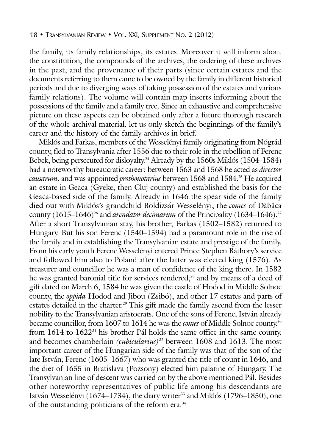the family, its family relationships, its estates. Moreover it will inform about the constitution, the compounds of the archives, the ordering of these archives in the past, and the provenance of their parts (since certain estates and the documents referring to them came to be owned by the family in different historical periods and due to diverging ways of taking possession of the estates and various family relations). The volume will contain map inserts informing about the possessions of the family and a family tree. Since an exhaustive and comprehensive picture on these aspects can be obtained only after a future thorough research of the whole archival material, let us only sketch the beginnings of the family's career and the history of the family archives in brief.

Miklós and Farkas, members of the Wesselényi family originating from Nógrád county, fled to Transylvania after 1556 due to their role in the rebellion of Ferenc Bebek, being persecuted for disloyalty.<sup>24</sup> Already by the 1560s Miklós (1504–1584) had a noteworthy bureaucratic career: between 1563 and 1568 he acted as *director causarum*, and was appointed *prothonotarius* between 1568 and 1584.<sup>25</sup> He acquired an estate in Geaca (Gyeke, then Cluj county) and established the basis for the Geaca-based side of the family. Already in 1646 the spear side of the family died out with Miklós's grandchild Boldizsár Wesselényi, the *comes* of Dãbâca county (1615–1646)<sup>26</sup> and *arendator decimarum* of the Principality (1634–1646).<sup>27</sup> After a short Transylvanian stay, his brother, Farkas (1502–1582) returned to Hungary. But his son Ferenc (1540–1594) had a paramount role in the rise of the family and in establishing the Transylvanian estate and prestige of the family. From his early youth Ferenc Wesselényi entered Prince Stephen Báthory's service and followed him also to Poland after the latter was elected king (1576). As treasurer and councillor he was a man of confidence of the king there. In 1582 he was granted baronial title for services rendered,<sup>28</sup> and by means of a deed of gift dated on March 6, 1584 he was given the castle of Hodod in Middle Solnoc county, the *oppida* Hodod and Jibou (Zsibó), and other 17 estates and parts of estates detailed in the charter.<sup>29</sup> This gift made the family ascend from the lesser nobility to the Transylvanian aristocrats. One of the sons of Ferenc, István already became councillor, from 1607 to 1614 he was the *comes* of Middle Solnoc county,<sup>30</sup> from  $1614$  to  $1622<sup>31</sup>$  his brother Pál holds the same office in the same county, and becomes chamberlain *(cubicularius)*<sup>32</sup> between 1608 and 1613. The most important career of the Hungarian side of the family was that of the son of the late István, Ferenc (1605–1667) who was granted the title of count in 1646, and the diet of 1655 in Bratislava (Pozsony) elected him palatine of Hungary. The Transylvanian line of descent was carried on by the above mentioned Pál. Besides other noteworthy representatives of public life among his descendants are István Wesselényi (1674–1734), the diary writer<sup>33</sup> and Miklós (1796–1850), one of the outstanding politicians of the reform era.<sup>34</sup>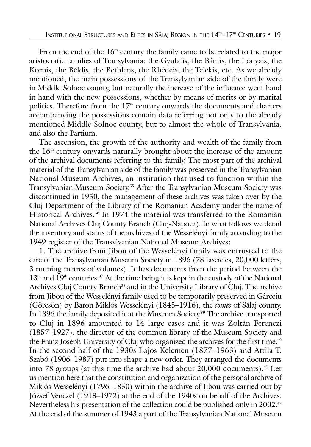From the end of the 16<sup>th</sup> century the family came to be related to the major aristocratic families of Transylvania: the Gyulafis, the Bánfis, the Lónyais, the Kornis, the Béldis, the Bethlens, the Rhédeis, the Telekis, etc. As we already mentioned, the main possessions of the Transylvanian side of the family were in Middle Solnoc county, but naturally the increase of the influence went hand in hand with the new possessions, whether by means of merits or by marital politics. Therefore from the  $17<sup>th</sup>$  century onwards the documents and charters accompanying the possessions contain data referring not only to the already mentioned Middle Solnoc county, but to almost the whole of Transylvania, and also the Partium.

The ascension, the growth of the authority and wealth of the family from the  $16<sup>th</sup>$  century onwards naturally brought about the increase of the amount of the archival documents referring to the family. The most part of the archival material of the Transylvanian side of the family was preserved in the Transylvanian National Museum Archives, an institution that used to function within the Transylvanian Museum Society.35 After the Transylvanian Museum Society was discontinued in 1950, the management of these archives was taken over by the Cluj Department of the Library of the Romanian Academy under the name of Historical Archives.<sup>36</sup> In 1974 the material was transferred to the Romanian National Archives Cluj County Branch (Cluj**-**Napoca). In what follows we detail the inventory and status of the archives of the Wesselényi family according to the 1949 register of the Transylvanian National Museum Archives:

1. The archive from Jibou of the Wesselényi family was entrusted to the care of the Transylvanian Museum Society in 1896 (78 fascicles, 20,000 letters, 3 running metres of volumes). It has documents from the period between the  $13<sup>th</sup>$  and  $19<sup>th</sup>$  centuries.<sup>37</sup> At the time being it is kept in the custody of the National Archives Cluj County Branch<sup>38</sup> and in the University Library of Cluj. The archive from Jibou of the Wesselényi family used to be temporarily preserved in Gârceiu (Görcsön) by Baron Miklós Wesselényi (1845–1916), the *comes* of Sãlaj county. In 1896 the family deposited it at the Museum Society.<sup>39</sup> The archive transported to Cluj in 1896 amounted to 14 large cases and it was Zoltán Ferenczi (1857–1927), the director of the common library of the Museum Society and the Franz Joseph University of Cluj who organized the archives for the first time.<sup>40</sup> In the second half of the 1930s Lajos Kelemen (1877–1963) and Attila T. Szabó (1906–1987) put into shape a new order. They arranged the documents into 78 groups (at this time the archive had about  $20,000$  documents).<sup>41</sup> Let us mention here that the constitution and organization of the personal archive of Miklós Wesselényi (1796–1850) within the archive of Jibou was carried out by József Venczel (1913–1972) at the end of the 1940s on behalf of the Archives. Nevertheless his presentation of the collection could be published only in 2002.<sup>42</sup> At the end of the summer of 1943 a part of the Transylvanian National Museum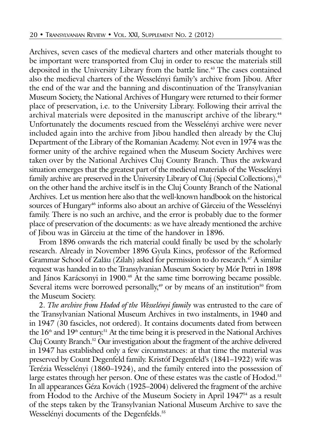Archives, seven cases of the medieval charters and other materials thought to be important were transported from Cluj in order to rescue the materials still deposited in the University Library from the battle line.<sup>43</sup> The cases contained also the medieval charters of the Wesselényi family's archive from Jibou. After the end of the war and the banning and discontinuation of the Transylvanian Museum Society, the National Archives of Hungary were returned to their former place of preservation, i.e. to the University Library. Following their arrival the archival materials were deposited in the manuscript archive of the library.<sup>44</sup> Unfortunately the documents rescued from the Wesselényi archive were never included again into the archive from Jibou handled then already by the Cluj Department of the Library of the Romanian Academy. Not even in 1974 was the former unity of the archive regained when the Museum Society Archives were taken over by the National Archives Cluj County Branch. Thus the awkward situation emerges that the greatest part of the medieval materials of the Wesselényi family archive are preserved in the University Library of Cluj (Special Collections),<sup>45</sup> on the other hand the archive itself is in the Cluj County Branch of the National Archives. Let us mention here also that the well-known handbook on the historical sources of Hungary<sup>46</sup> informs also about an archive of Gârceiu of the Wesselényi family. There is no such an archive, and the error is probably due to the former place of preservation of the documents: as we have already mentioned the archive of Jibou was in Gârceiu at the time of the handover in 1896.

From 1896 onwards the rich material could finally be used by the scholarly research. Already in November 1896 Gyula Kincs, professor of the Reformed Grammar School of Zalău (Zilah) asked for permission to do research.<sup>47</sup> A similar request was handed in to the Transylvanian Museum Society by Mór Petri in 1898 and János Karácsonyi in 1900.<sup>48</sup> At the same time borrowing became possible. Several items were borrowed personally,<sup>49</sup> or by means of an institution<sup>50</sup> from the Museum Society.

2. *The archive from Hodod of the Wesselényi family* was entrusted to the care of the Transylvanian National Museum Archives in two instalments, in 1940 and in 1947 (30 fascicles, not ordered). It contains documents dated from between the  $16<sup>th</sup>$  and  $19<sup>th</sup>$  century.<sup>51</sup> At the time being it is preserved in the National Archives Cluj County Branch.52 Our investigation about the fragment of the archive delivered in 1947 has established only a few circumstances: at that time the material was preserved by Count Degenfeld family. Kristóf Degenfeld's (1841–1922) wife was Terézia Wesselényi (1860–1924), and the family entered into the possession of large estates through her person. One of these estates was the castle of Hodod.<sup>53</sup> In all appearances Géza Kovách (1925–2004) delivered the fragment of the archive from Hodod to the Archive of the Museum Society in April 1947<sup>54</sup> as a result of the steps taken by the Transylvanian National Museum Archive to save the Wesselényi documents of the Degenfelds.<sup>55</sup>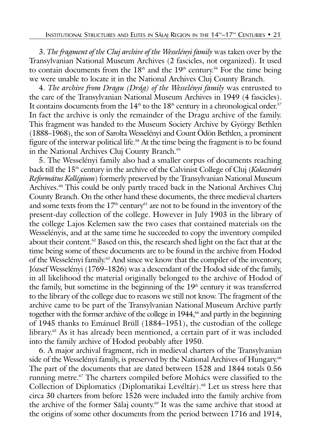3. *The fragment of the Cluj archive of the Wesselényi family* was taken over by the Transylvanian National Museum Archives (2 fascicles, not organized). It used to contain documents from the  $18<sup>th</sup>$  and the  $19<sup>th</sup>$  century.<sup>56</sup> For the time being we were unable to locate it in the National Archives Cluj County Branch.

4. *The archive from Dragu (Drág) of the Wesselényi family* was entrusted to the care of the Transylvanian National Museum Archives in 1949 (4 fascicles). It contains documents from the  $14<sup>th</sup>$  to the  $18<sup>th</sup>$  century in a chronological order.<sup>57</sup> In fact the archive is only the remainder of the Dragu archive of the family. This fragment was handed to the Museum Society Archive by György Bethlen (1888–1968), the son of Sarolta Wesselényi and Count Ödön Bethlen, a prominent figure of the interwar political life.<sup>58</sup> At the time being the fragment is to be found in the National Archives Cluj County Branch.<sup>59</sup>

5. The Wesselényi family also had a smaller corpus of documents reaching back till the 15<sup>th</sup> century in the archive of the Calvinist College of Cluj (*Kolozsvári Református Kollégium*) formerly preserved by the Transylvanian National Museum Archives.<sup>60</sup> This could be only partly traced back in the National Archives Cluj County Branch. On the other hand these documents, the three medieval charters and some texts from the  $17<sup>th</sup>$  century<sup>61</sup> are not to be found in the inventory of the present-day collection of the college. However in July 1903 in the library of the college Lajos Kelemen saw the two cases that contained materials on the Wesselényis, and at the same time he succeeded to copy the inventory compiled about their content.<sup>62</sup> Based on this, the research shed light on the fact that at the time being some of these documents are to be found in the archive from Hodod of the Wesselényi family.<sup>63</sup> And since we know that the compiler of the inventory, József Wesselényi (1769–1826) was a descendant of the Hodod side of the family, in all likelihood the material originally belonged to the archive of Hodod of the family, but sometime in the beginning of the 19<sup>th</sup> century it was transferred to the library of the college due to reasons we still not know. The fragment of the archive came to be part of the Transylvanian National Museum Archive partly together with the former archive of the college in 1944,<sup>64</sup> and partly in the beginning of 1945 thanks to Emánuel Brüll (1884–1951), the custodian of the college library.65 As it has already been mentioned, a certain part of it was included into the family archive of Hodod probably after 1950.

6. A major archival fragment, rich in medieval charters of the Transylvanian side of the Wesselényi family, is preserved by the National Archives of Hungary.<sup>66</sup> The part of the documents that are dated between 1528 and 1844 totals 0.56 running metre.<sup>67</sup> The charters compiled before Mohács were classified to the Collection of Diplomatics (Diplomatikai Levéltár).<sup>68</sup> Let us stress here that circa 30 charters from before 1526 were included into the family archive from the archive of the former Sălaj county.<sup>69</sup> It was the same archive that stood at the origins of some other documents from the period between 1716 and 1914,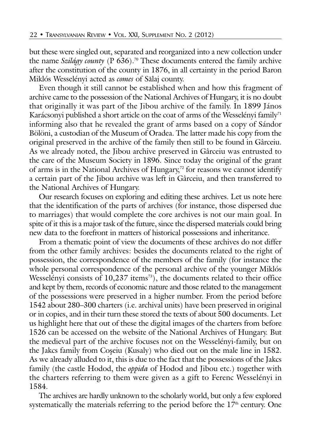but these were singled out, separated and reorganized into a new collection under the name *Szilágy county* (P  $\overline{636}$ ).<sup>70</sup> These documents entered the family archive after the constitution of the county in 1876, in all certainty in the period Baron Miklós Wesselényi acted as *comes* of Sãlaj county.

Even though it still cannot be established when and how this fragment of archive came to the possession of the National Archives of Hungary, it is no doubt that originally it was part of the Jibou archive of the family. In 1899 János Karácsonyi published a short article on the coat of arms of the Wesselényi family<sup>71</sup> informing also that he revealed the grant of arms based on a copy of Sándor Bölöni, a custodian of the Museum of Oradea. The latter made his copy from the original preserved in the archive of the family then still to be found in Gârceiu. As we already noted, the Jibou archive preserved in Gârceiu was entrusted to the care of the Museum Society in 1896. Since today the original of the grant of arms is in the National Archives of Hungary,<sup>72</sup> for reasons we cannot identify a certain part of the Jibou archive was left in Gârceiu, and then transferred to the National Archives of Hungary.

Our research focuses on exploring and editing these archives. Let us note here that the identification of the parts of archives (for instance, those dispersed due to marriages) that would complete the core archives is not our main goal. In spite of it this is a major task of the future, since the dispersed materials could bring new data to the forefront in matters of historical possessions and inheritance.

From a thematic point of view the documents of these archives do not differ from the other family archives: besides the documents related to the right of possession, the correspondence of the members of the family (for instance the whole personal correspondence of the personal archive of the younger Miklós Wesselényi consists of  $10,237$  items<sup>73</sup>), the documents related to their office and kept by them, records of economic nature and those related to the management of the possessions were preserved in a higher number. From the period before 1542 about 280–300 charters (i.e. archival units) have been preserved in original or in copies, and in their turn these stored the texts of about 500 documents. Let us highlight here that out of these the digital images of the charters from before 1526 can be accessed on the website of the National Archives of Hungary. But the medieval part of the archive focuses not on the Wesselényi-family, but on the Jakcs family from Coşeiu (Kusaly) who died out on the male line in 1582. As we already alluded to it, this is due to the fact that the possessions of the Jakcs family (the castle Hodod, the *oppida* of Hodod and Jibou etc.) together with the charters referring to them were given as a gift to Ferenc Wesselényi in 1584.

The archives are hardly unknown to the scholarly world, but only a few explored systematically the materials referring to the period before the  $17<sup>th</sup>$  century. One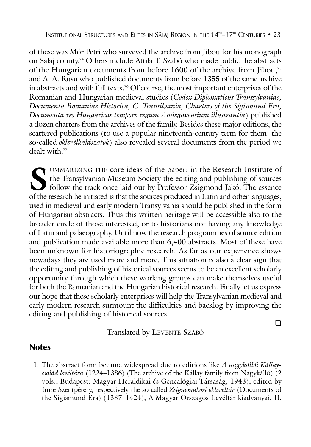of these was Mór Petri who surveyed the archive from Jibou for his monograph on Sãlaj county.74 Others include Attila T. Szabó who made public the abstracts of the Hungarian documents from before 1600 of the archive from Jibou,75 and A. A. Rusu who published documents from before 1355 of the same archive in abstracts and with full texts.<sup>76</sup> Of course, the most important enterprises of the Romanian and Hungarian medieval studies (*Codex Diplomaticus Transsylvaniae, Documenta Romaniae Historica, C. Transilvania, Charters of the Sigismund Era, Documenta res Hungaricas tempore regum Andegavensium illustrantia*) published a dozen charters from the archives of the family. Besides these major editions, the scattered publications (to use a popular nineteenth-century term for them: the so-called *oklevélkalászatok*) also revealed several documents from the period we dealt with  $77$ 

**S** UMMARIZING THE core ideas of the paper: in the Research Institute of the Transylvanian Museum Society the editing and publishing of sources follow the track once laid out by Professor Zsigmond Jakó. The essence of the research he initiated is that the sources produced in Latin and other languages, used in medieval and early modern Transylvania should be published in the form of Hungarian abstracts. Thus this written heritage will be accessible also to the broader circle of those interested, or to historians not having any knowledge of Latin and palaeography. Until now the research programmes of source edition and publication made available more than 6,400 abstracts. Most of these have been unknown for historiographic research. As far as our experience shows nowadays they are used more and more. This situation is also a clear sign that the editing and publishing of historical sources seems to be an excellent scholarly opportunity through which these working groups can make themselves useful for both the Romanian and the Hungarian historical research. Finally let us express our hope that these scholarly enterprises will help the Transylvanian medieval and early modern research surmount the difficulties and backlog by improving the editing and publishing of historical sources.

Translated by LEVENTE SZABÓ

 $\Box$ 

### **Notes**

1. The abstract form became widespread due to editions like *A nagykállói Kállaycsalád levéltára* (1224–1386) (The archive of the Kállay family from Nagykálló) (2 vols., Budapest: Magyar Heraldikai és Genealógiai Társaság, 1943), edited by Imre Szentpétery, respectively the so-called *Zsigmondkori oklevéltár* (Documents of the Sigismund Era) (1387–1424), A Magyar Országos Levéltár kiadványai, II,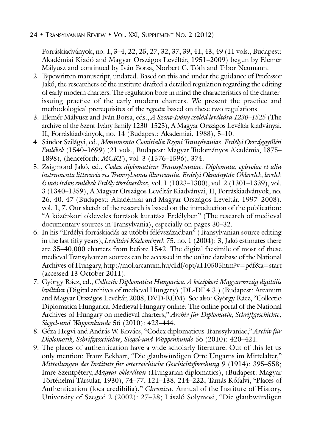Forráskiadványok, no. 1, 3–4, 22, 25, 27, 32, 37, 39, 41, 43, 49 (11 vols., Budapest: Akadémiai Kiadó and Magyar Országos Levéltár, 1951–2009) begun by Elemér Mályusz and continued by Iván Borsa, Norbert C. Tóth and Tibor Neumann.

- 2. Typewritten manuscript, undated. Based on this and under the guidance of Professor Jakó, the researchers of the institute drafted a detailed regulation regarding the editing of early modern charters. The regulation bore in mind the characteristics of the charterissuing practice of the early modern charters. We present the practice and methodological prerequisites of the *regesta* based on these two regulations.
- 3. Elemér Mályusz and Iván Borsa, eds., *A Szent-Ivány család levéltára 1230–1525* (The archive of the Szent-Ivány family 1230–1525), A Magyar Országos Levéltár kiadványai, II, Forráskiadványok, no. 14 (Budapest: Akadémiai, 1988), 5–10.
- 4. Sándor Szilágyi, ed., *Monumenta Comitialia Regni Transylvaniae*. *Erdélyi Országgyðlési Emlékek* (1540–1699) (21 vols., Budapest: Magyar Tudományos Akadémia, 1875– 1898), (henceforth: *MCRT*), vol. 3 (1576–1596), 374.
- 5. Zsigmond Jakó, ed., *Codex diplomaticus Transsylvaniae. Diplomata, epistolae et alia instrumenta litteraria res Transsylvanas illustrantia. Erdélyi Okmánytár. Oklevelek, levelek és más írásos emlékek Erdély történetéhez,* vol. 1 (1023–1300), vol. 2 (1301–1339), vol. 3 (1340–1359), A Magyar Országos Levéltár Kiadványai, II, Forráskiadványok, no. 26, 40, 47 (Budapest: Akadémiai and Magyar Országos Levéltár, 1997–2008), vol. 1, 7. Our sketch of the research is based on the introduction of the publication: "A középkori okleveles források kutatása Erdélyben" (The research of medieval documentary sources in Transylvania), especially on pages 30–32.
- 6. In his "Erdélyi forráskiadás az utóbbi félévszázadban" (Transylvanian source editing in the last fifty years), *Levéltári Közlemények* 75, no. 1 (2004): 3, Jakó estimates there are 35–40,000 charters from before 1542. The digital facsimile of most of these medieval Transylvanian sources can be accessed in the online database of the National Archives of Hungary, http://mol.arcanum.hu/dldf/opt/a110505htm?v=pdf&a=start (accessed 13 October 2011).
- 7. György Rácz, ed., *Collectio Diplomatica Hungarica. A középkori Magyarország digitális levéltára* (Digital archives of medieval Hungary) (DL-DF 4.3.) (Budapest: Arcanum and Magyar Országos Levéltár, 2008, DVD-ROM). See also: György Rácz, "Collectio Diplomatica Hungarica. Medieval Hungary online: The online portal of the National Archives of Hungary on medieval charters," *Archiv für Diplomatik, Schriftgeschichte, Siegel-und Wappenkunde* 56 (2010): 423–444.
- 8. Géza Hegyi and András W. Kovács, "Codex diplomaticus Transsylvaniae," *Archiv für Diplomatik, Schriftgeschichte, Siegel-und Wappenkunde* 56 (2010): 420–421.
- 9. The places of authentication have a wide scholarly literature. Out of this let us only mention: Franz Eckhart, "Die glaubwürdigen Orte Ungarns im Mittelalter," *Mitteilungen des Instituts für österreichische Geschichtsforschung* 9 (1914): 395–558; Imre Szentpétery, *Magyar oklevéltan* (Hungarian diplomatics), (Budapest: Magyar Történelmi Társulat, 1930), 74–77, 121–138, 214–222; Tamás Køfalvi, "Places of Authentication (loca credibilia)," *Chronica*. Annual of the Institute of History, University of Szeged 2 (2002): 27–38; László Solymosi, "Die glaubwürdigen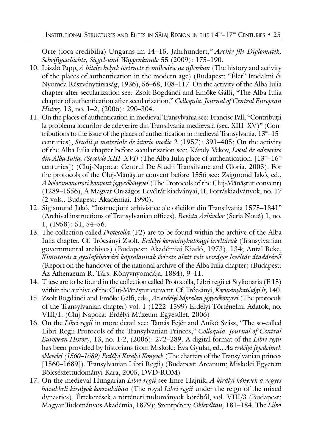Orte (loca credibilia) Ungarns im 14–15. Jahrhundert," *Archiv für Diplomatik, Schriftgeschichte, Siegel-und Wappenkunde* 55 (2009): 175–190.

- 10. László Papp, *A hiteles helyek története és mðködése az újkorban* (The history and activity of the places of authentication in the modern age) (Budapest: "Élet" Irodalmi és Nyomda Részvénytársaság, 1936), 56–68, 108–117. On the activity of the Alba Iulia chapter after secularization see: Zsolt Bogdándi and Emøke Gálfi, "The Alba Iulia chapter of authentication after secularization," *Colloquia. Journal of Central European History* 13, no. 1–2, (2006): 290–304.
- 11. On the places of authentication in medieval Transylvania see: Francisc Pall, "Contribuþii la problema locurilor de adeverire din Transilvania medievalã (sec. XIII–XV)" (Contributions to the issue of the places of authentication in medieval Transylvania,  $13<sup>th</sup>–15<sup>th</sup>$ centuries), *Studii ºi materiale de istorie medie* 2 (1957): 391–405; On the activity of the Alba Iulia chapter before secularization see: Károly Vekov, *Locul de adeverire din Alba Iulia. (Secolele XIII–XVI)* (The Alba Iulia place of authentication. [13<sup>th</sup>–16<sup>th</sup> centuries]) (Cluj-Napoca: Centrul De Studii Transilvane and Gloria, 2003). For the protocols of the Cluj-Mănăștur convent before 1556 see: Zsigmond Jakó, ed., *A kolozsmonostori konvent jegyzőkönyvei* (The Protocols of the Cluj-Mănăștur convent) (1289–1556), A Magyar Országos Levéltár kiadványai, II, Forráskiadványok, no. 17 (2 vols., Budapest: Akadémiai, 1990).
- 12. Sigismund Jakó, "Instrucțiuni arhivistice ale oficiilor din Transilvania 1575–1841" (Archival instructions of Transylvanian offices), *Revista Arhivelor* (Seria Nouã) 1, no. 1, (1958): 51, 54–56.
- 13. The collection called *Protocolla* (F2) are to be found within the archive of the Alba Iulia chapter. Cf. Trócsányi Zsolt, *Erdélyi kormányhatósági levéltárak* (Transylvanian governmental archives) (Budapest: Akadémiai Kiadó, 1973), 134; Antal Beke, *Kimutatás a gyulafehérvári káptalannak ørizete alatt volt országos levéltár átadásáról* (Report on the handover of the national archive of the Alba Iulia chapter) (Budapest: Az Athenaeum R. Társ. Könyvnyomdája, 1884), 9–11.
- 14. These are to be found in the collection called Protocolla, Libri regii et Stylionaria (F 15) within the archive of the Cluj-Mănăștur convent. Cf. Trócsányi, *Kormányhatósági lt*, 140.
- 15. Zsolt Bogdándi and Emøke Gálfi, eds., *Az erdélyi káptalan jegyzøkönyvei* (The protocols of the Transylvanian chapter) vol. 1 (1222–1599) Erdélyi Történelmi Adatok, no. VIII/1. (Cluj-Napoca: Erdélyi Múzeum-Egyesület, 2006)
- 16. On the *Libri regii* in more detail see: Tamás Fejér and Anikó Szász, "The so-called Libri Regii Protocols of the Transylvanian Princes," *Colloquia. Journal of Central European History*, 13, no. 1-2, (2006): 272–289. A digital format of the *Libri regii* has been provided by historians from Miskolc: Éva Gyulai, ed., *Az erdélyi fejedelmek oklevelei (1560–1689) Erdélyi Királyi Könyvek* (The charters of the Transylvanian princes [1560–1689]). Transylvanian Libri Regii) (Budapest: Arcanum; Miskolci Egyetem Bölcsészettudományi Kara, 2005, DVD-ROM)
- 17. On the medieval Hungarian *Libri regii* see Imre Hajnik, *A királyi könyvek a vegyes házakbeli királyok korszakában* (The royal *Libri regii* under the reign of the mixed dynasties), Értekezések a történeti tudományok körébøl, vol. VIII/3 (Budapest: Magyar Tudományos Akadémia, 1879); Szentpétery, *Oklevéltan,* 181–184. The *Libri*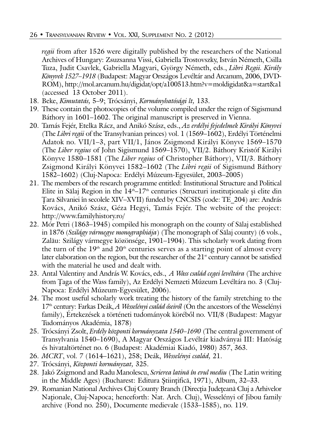*regii* from after 1526 were digitally published by the researchers of the National Archives of Hungary: Zsuzsanna Vissi, Gabriella Trostovszky, István Németh, Csilla Tuza, Judit Csavlek, Gabriella Magyari, György Németh, eds., *Libri Regii. Király Könyvek 1527–1918* (Budapest: Magyar Országos Levéltár and Arcanum, 2006, DVD-ROM), http://mol.arcanum.hu/digidat/opt/a100513.htm?v=moldigidat&a=start&a1 (accessed 13 October 2011).

- 18. Beke, *Kimutatás,* 5–9; Trócsányi, *Kormányhatósági lt,* 133.
- 19. These contain the photocopies of the volume compiled under the reign of Sigismund Báthory in 1601–1602. The original manuscript is preserved in Vienna.
- 20. Tamás Fejér, Etelka Rácz, and Anikó Szász, eds., *Az erdélyi fejedelmek Királyi Könyvei* (The *Libri regii* of the Transylvanian princes) vol. 1 (1569–1602), Erdélyi Történelmi Adatok no. VII/1–3, part VII/1, János Zsigmond Királyi Könyve 1569–1570 (The *Liber regius* of John Sigismund 1569–1570), VII/2. Báthory Kristóf Királyi Könyve 1580–1581 (The *Liber regius* of Christopher Báthory), VII/3. Báthory Zsigmond Királyi Könyvei 1582–1602 (The *Libri regii* of Sigismund Báthory 1582–1602) (Cluj-Napoca: Erdélyi Múzeum-Egyesület, 2003–2005)
- 21. The members of the research programme entitled: Institutional Structure and Political Elite in Sălaj Region in the  $14<sup>th</sup>-17<sup>th</sup>$  centuries (Structuri instituționale și elite din Þara Silvaniei în secolele XIV–XVII) funded by CNCSIS (code: TE\_204) are: András Kovács, Anikó Szász, Géza Hegyi, Tamás Fejér. The website of the project: http://www.familyhistory.ro/
- 22. Mór Petri (1863–1945) compiled his monograph on the county of Sãlaj established in 1876 (*Szilágy vármegye monographiája*) (The monograph of Sãlaj county) (6 vols., Zalãu: Szilágy vármegye közönsége, 1901–1904). This scholarly work dating from the turn of the  $19<sup>th</sup>$  and  $20<sup>th</sup>$  centuries serves as a starting point of almost every later elaboration on the region, but the researcher of the  $21<sup>st</sup>$  century cannot be satisfied with the material he used and dealt with.
- 23. Antal Valentiny and András W. Kovács, eds., *A Wass család cegei levéltára* (The archive from Ţaga of the Wass family), Az Erdélyi Nemzeti Múzeum Levéltára no. 3 (Cluj-Napoca: Erdélyi Múzeum-Egyesület, 2006).
- 24. The most useful scholarly work treating the history of the family stretching to the 17th century: Farkas Deák, *A Wesselényi család øseirøl* (On the ancestors of the Wesselényi family), Értekezések a történeti tudományok körébøl no. VII/8 (Budapest: Magyar Tudományos Akadémia, 1878)
- 25. Trócsányi Zsolt, *Erdély központi kormányzata 1540–1690* (The central government of Transylvania 1540–1690), A Magyar Országos Levéltár kiadványai III: Hatóság és hivataltörténet no. 6 (Budapest: Akadémiai Kiadó, 1980) 357, 363.
- 26. *MCRT*, vol. 7 (1614–1621), 258; Deák, *Wesselényi család,* 21.
- 27. Trócsányi, *Központi kormányzat,* 325.
- 28. Jakó Zsigmond and Radu Manolescu, *Scrierea latinã în evul mediu* (The Latin writing in the Middle Ages) (Bucharest: Editura Ştiințifică, 1971), Album, 32–33.
- 29. Romanian National Archives Cluj County Branch (Direcția Județeană Cluj a Arhivelor Naþionale, Cluj-Napoca; henceforth: Nat. Arch. Cluj), Wesselényi of Jibou family archive (Fond no. 250), Documente medievale (1533–1585), no. 119.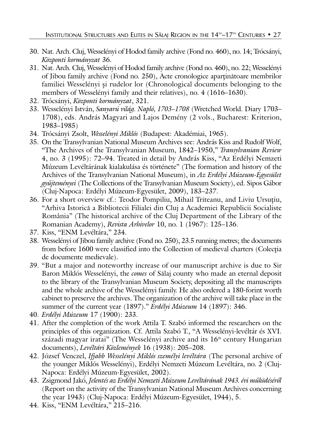- 30. Nat. Arch. Cluj, Wesselényi of Hodod family archive (Fond no. 460), no. 14; Trócsányi, *Központi kormányzat* 36.
- 31. Nat. Arch. Cluj, Wesselényi of Hodod family archive (Fond no. 460), no. 22; Wesselényi of Jibou family archive (Fond no. 250), Acte cronologice aparținătoare membrilor familiei Wesselényi și rudelor lor (Chronological documents belonging to the members of Wesselényi family and their relatives), no. 4 (1616–1630).
- 32. Trócsányi, *Központi kormányzat*, 321.
- 33. Wesselényi István, *Sanyarú világ. Napló, 1703–1708* (Wretched World. Diary 1703– 1708), eds. András Magyari and Lajos Demény (2 vols., Bucharest: Kriterion, 1983–1985)
- 34. Trócsányi Zsolt, *Wesselényi Miklós* (Budapest: Akadémiai, 1965).
- 35. On the Transylvanian National Museum Archives see: András Kiss and Rudolf Wolf, "The Archives of the Transylvanian Museum, 1842–1950," *Transylvanian Review* 4, no. 3 (1995): 72–94. Treated in detail by András Kiss, "Az Erdélyi Nemzeti Múzeum Levéltárának kialakulása és története" (The formation and history of the Archives of the Transylvanian National Museum), in *Az Erdélyi Múzeum-Egyesület gyðjteményei* (The Collections of the Transylvanian Museum Society), ed. Sipos Gábor (Cluj-Napoca: Erdélyi Múzeum-Egyesület, 2009), 183–237.
- 36. For a short overview cf.: Teodor Pompiliu, Mihail Triteanu, and Liviu Ursuțiu, "Arhiva Istoricã a Bibliotecii Filialei din Cluj a Academiei Republicii Socialiste România" (The historical archive of the Cluj Department of the Library of the Romanian Academy), *Revista Arhivelor* 10, no. 1 (1967): 125–136.
- 37. Kiss, "ENM Levéltára," 234.
- 38. Wesselényi of Jibou family archive (Fond no. 250), 23.5 running metres; the documents from before 1600 were classified into the Collection of medieval charters (Colecția de documente medievale).
- 39. "But a major and noteworthy increase of our manuscript archive is due to Sir Baron Miklós Wesselényi, the *comes* of Sãlaj county who made an eternal deposit to the library of the Transylvanian Museum Society, depositing all the manuscripts and the whole archive of the Wesselényi family. He also ordered a 180-forint worth cabinet to preserve the archives. The organization of the archive will take place in the summer of the current year (1897)." *Erdélyi Múzeum* 14 (1897): 346.
- 40. *Erdélyi Múzeum* 17 (1900): 233.
- 41. After the completion of the work Attila T. Szabó informed the researchers on the principles of this organization. Cf. Attila Szabó T., "A Wesselényi-levéltár és XVI. századi magyar iratai" (The Wesselényi archive and its  $16<sup>th</sup>$  century Hungarian documents), *Levéltári Közlemények* 16 (1938): 205–208.
- 42. József Venczel, *Ifjabb Wesselényi Miklós személyi levéltára* (The personal archive of the younger Miklós Wesselényi), Erdélyi Nemzeti Múzeum Levéltára, no. 2 (Cluj-Napoca: Erdélyi Múzeum-Egyesület, 2002).
- 43. Zsigmond Jakó, *Jelentés az Erdélyi Nemzeti Múzeum Levéltárának 1943. évi mðködésérøl* (Report on the activity of the Transylvanian National Museum Archives concerning the year 1943) (Cluj-Napoca: Erdélyi Múzeum-Egyesület, 1944), 5.
- 44. Kiss, "ENM Levéltára," 215–216.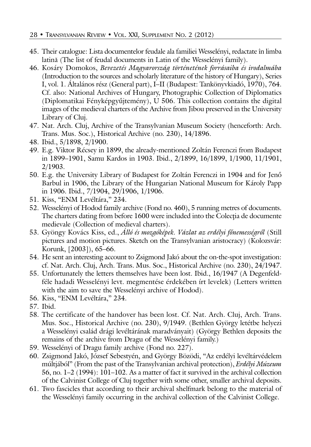- 45. Their catalogue: Lista documentelor feudale ala familiei Wesselényi, redactate în limba latinã (The list of feudal documents in Latin of the Wesselényi family).
- 46. Kosáry Domokos, *Bevezetés Magyarország történetének forrásaiba és irodalmába* (Introduction to the sources and scholarly literature of the history of Hungary), Series I, vol. 1. Általános rész (General part), I–II (Budapest: Tankönyvkiadó, 1970), 764. Cf. also: National Archives of Hungary, Photographic Collection of Diplomatics (Diplomatikai Fényképgyðjtemény), U 506. This collection contains the digital images of the medieval charters of the Archive from Jibou preserved in the University Library of Cluj.
- 47. Nat. Arch. Cluj, Archive of the Transylvanian Museum Society (henceforth: Arch. Trans. Mus. Soc.), Historical Archive (no. 230), 14/1896.
- 48. Ibid., 5/1898, 2/1900.
- 49. E.g. Viktor Récsey in 1899, the already-mentioned Zoltán Ferenczi from Budapest in 1899–1901, Samu Kardos in 1903. Ibid., 2/1899, 16/1899, 1/1900, 11/1901, 2/1903.
- 50. E.g. the University Library of Budapest for Zoltán Ferenczi in 1904 and for Jenø Barbul in 1906, the Library of the Hungarian National Museum for Károly Papp in 1906. Ibid., 7/1904, 29/1906, 1/1906.
- 51. Kiss, "ENM Levéltára," 234.
- 52. Wesselényi of Hodod family archive (Fond no. 460), 5 running metres of documents. The charters dating from before 1600 were included into the Colecția de documente medievale (Collection of medieval charters).
- 53. Gyöngy Kovács Kiss, ed., *Álló és mozgóképek. Vázlat az erdélyi fønemességrøl* (Still pictures and motion pictures. Sketch on the Transylvanian aristocracy) (Kolozsvár: Korunk, [2003]), 65–66.
- 54. He sent an interesting account to Zsigmond Jakó about the on-the-spot investigation: cf. Nat. Arch. Cluj, Arch. Trans. Mus. Soc., Historical Archive (no. 230), 24/1947.
- 55. Unfortunately the letters themselves have been lost. Ibid., 16/1947 (A Degenfeldféle hadadi Wesselényi levt. megmentése érdekében írt levelek) (Letters written with the aim to save the Wesselényi archive of Hodod).
- 56. Kiss, "ENM Levéltára," 234.
- 57. Ibid.
- 58. The certificate of the handover has been lost. Cf. Nat. Arch. Cluj, Arch. Trans. Mus. Soc., Historical Archive (no. 230), 9/1949. (Bethlen György letétbe helyezi a Wesselényi család drági levéltárának maradványait) (György Bethlen deposits the remains of the archive from Dragu of the Wesselényi family.)
- 59. Wesselényi of Dragu family archive (Fond no. 227).
- 60. Zsigmond Jakó, József Sebestyén, and György Bözödi, "Az erdélyi levéltárvédelem múltjából" (From the past of the Transylvanian archival protection), *Erdélyi Múzeum* 56, no. 1–2 (1994): 101–102. As a matter of fact it survived in the archival collection of the Calvinist College of Cluj together with some other, smaller archival deposits.
- 61. Two fascicles that according to their archival shelfmark belong to the material of the Wesselényi family occurring in the archival collection of the Calvinist College.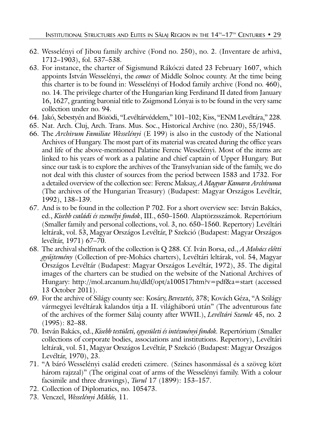- 62. Wesselényi of Jibou family archive (Fond no. 250), no. 2. (Inventare de arhivã, 1712–1903), fol. 537–538.
- 63. For instance, the charter of Sigismund Rákóczi dated 23 February 1607, which appoints István Wesselényi, the *comes* of Middle Solnoc county. At the time being this charter is to be found in: Wesselényi of Hodod family archive (Fond no. 460), no. 14. The privilege charter of the Hungarian king Ferdinand II dated from January 16, 1627, granting baronial title to Zsigmond Lónyai is to be found in the very same collection under no. 94.
- 64. Jakó, Sebestyén and Bözödi, "Levéltárvédelem," 101–102; Kiss, "ENM Levéltára," 228.
- 65. Nat. Arch. Cluj, Arch. Trans. Mus. Soc., Historical Archive (no. 230), 55/1945.
- 66. The *Archivum Familiae Wesselényi* (E 199) is also in the custody of the National Archives of Hungary. The most part of its material was created during the office years and life of the above-mentioned Palatine Ferenc Wesselényi. Most of the items are linked to his years of work as a palatine and chief captain of Upper Hungary. But since our task is to explore the archives of the Transylvanian side of the family, we do not deal with this cluster of sources from the period between 1583 and 1732. For a detailed overview of the collection see: Ferenc Maksay, *A Magyar Kamara Archívuma* (The archives of the Hungarian Treasury) (Budapest: Magyar Országos Levéltár, 1992), 138–139.
- 67. And is to be found in the collection P 702. For a short overview see: István Bakács, ed., *Kisebb családi és személyi fondok*, III., 650–1560. Alaptörzsszámok. Repertórium (Smaller family and personal collections, vol. 3, no. 650–1560. Repertory) Levéltári leltárak, vol. 53, Magyar Országos Levéltár, P Szekció (Budapest: Magyar Országos levéltár, 1971) 67–70.
- 68. The archival shelfmark of the collection is Q 288. Cf. Iván Borsa, ed., *A Mohács eløtti gyðjtemény* (Collection of pre-Mohács charters), Levéltári leltárak, vol. 54, Magyar Országos Levéltár (Budapest: Magyar Országos Levéltár, 1972), 35. The digital images of the charters can be studied on the website of the National Archives of Hungary: http://mol.arcanum.hu/dldf/opt/a100517htm?v=pdf&a=start (accessed 13 October 2011).
- 69. For the archive of Silágy county see: Kosáry, *Bevezetés,* 378; Kovách Géza, "A Szilágy vármegyei levéltárak kalandos útja a II. világháború után" (The adventurous fate of the archives of the former Sãlaj county after WWII.), *Levéltári Szemle* 45, no. 2 (1995): 82–88.
- 70. István Bakács, ed., *Kisebb testületi, egyesületi és intézményi fondok.* Repertórium (Smaller collections of corporate bodies, associations and institutions. Repertory), Levéltári leltárak, vol. 51, Magyar Országos Levéltár, P Szekció (Budapest: Magyar Országos Levéltár, 1970), 23.
- 71. "A báró Wesselényi család eredeti czimere. (Szines hasonmással és a szöveg közt három rajzzal)" (The original coat of arms of the Wesselényi family. With a colour facsimile and three drawings), *Turul* 17 (1899): 153–157.
- 72. Collection of Diplomatics, no. 105473.
- 73. Venczel, *Wesselényi Miklós,* 11.